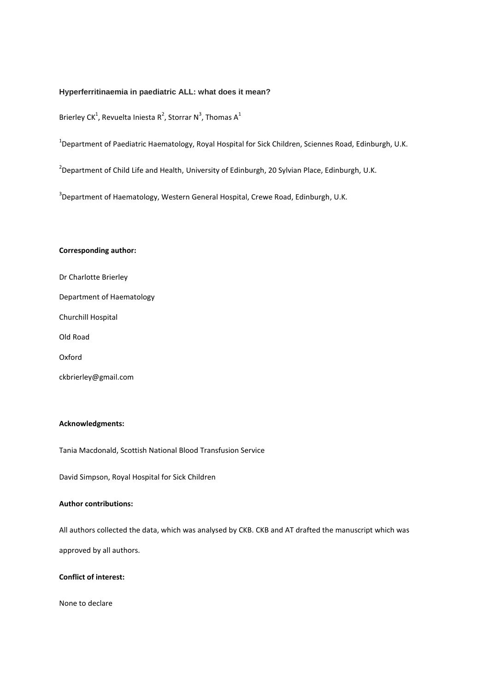#### **Hyperferritinaemia in paediatric ALL: what does it mean?**

Brierley CK<sup>1</sup>, Revuelta Iniesta R<sup>2</sup>, Storrar N<sup>3</sup>, Thomas A<sup>1</sup>

<sup>1</sup>Department of Paediatric Haematology, Royal Hospital for Sick Children, Sciennes Road, Edinburgh, U.K.

<sup>2</sup>Department of Child Life and Health, University of Edinburgh, 20 Sylvian Place, Edinburgh, U.K.

 $3$ Department of Haematology, Western General Hospital, Crewe Road, Edinburgh, U.K.

### **Corresponding author:**

Dr Charlotte Brierley Department of Haematology Churchill Hospital Old Road Oxford ckbrierley@gmail.com

### **Acknowledgments:**

Tania Macdonald, Scottish National Blood Transfusion Service

David Simpson, Royal Hospital for Sick Children

# **Author contributions:**

All authors collected the data, which was analysed by CKB. CKB and AT drafted the manuscript which was

approved by all authors.

# **Conflict of interest:**

None to declare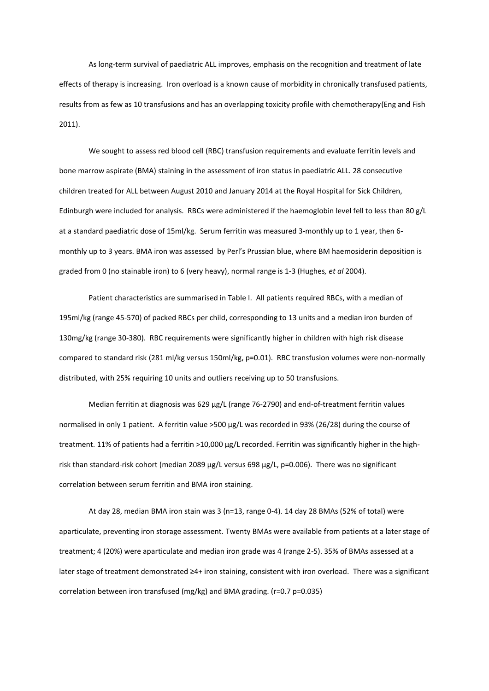As long-term survival of paediatric ALL improves, emphasis on the recognition and treatment of late effects of therapy is increasing. Iron overload is a known cause of morbidity in chronically transfused patients, results from as few as 10 transfusions and has an overlapping toxicity profile with chemotherapy[\(Eng and Fish](#page-4-0)  [2011\)](#page-4-0).

We sought to assess red blood cell (RBC) transfusion requirements and evaluate ferritin levels and bone marrow aspirate (BMA) staining in the assessment of iron status in paediatric ALL. 28 consecutive children treated for ALL between August 2010 and January 2014 at the Royal Hospital for Sick Children, Edinburgh were included for analysis. RBCs were administered if the haemoglobin level fell to less than 80 g/L at a standard paediatric dose of 15ml/kg. Serum ferritin was measured 3-monthly up to 1 year, then 6 monthly up to 3 years. BMA iron was assessed by Perl's Prussian blue, where BM haemosiderin deposition is graded from 0 (no stainable iron) to 6 (very heavy), normal range is 1-3 [\(Hughes](#page-4-1)*, et al* 2004).

Patient characteristics are summarised in Table I. All patients required RBCs, with a median of 195ml/kg (range 45-570) of packed RBCs per child, corresponding to 13 units and a median iron burden of 130mg/kg (range 30-380). RBC requirements were significantly higher in children with high risk disease compared to standard risk (281 ml/kg versus 150ml/kg, p=0.01). RBC transfusion volumes were non-normally distributed, with 25% requiring 10 units and outliers receiving up to 50 transfusions.

Median ferritin at diagnosis was 629 μg/L (range 76-2790) and end-of-treatment ferritin values normalised in only 1 patient. A ferritin value >500 μg/L was recorded in 93% (26/28) during the course of treatment. 11% of patients had a ferritin >10,000 μg/L recorded. Ferritin was significantly higher in the highrisk than standard-risk cohort (median 2089 μg/L versus 698 μg/L, p=0.006). There was no significant correlation between serum ferritin and BMA iron staining.

At day 28, median BMA iron stain was 3 (n=13, range 0-4). 14 day 28 BMAs (52% of total) were aparticulate, preventing iron storage assessment. Twenty BMAs were available from patients at a later stage of treatment; 4 (20%) were aparticulate and median iron grade was 4 (range 2-5). 35% of BMAs assessed at a later stage of treatment demonstrated ≥4+ iron staining, consistent with iron overload. There was a significant correlation between iron transfused (mg/kg) and BMA grading. (r=0.7 p=0.035)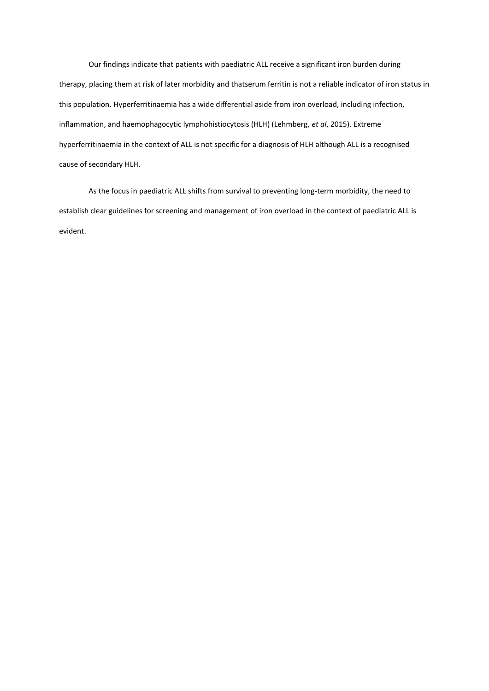Our findings indicate that patients with paediatric ALL receive a significant iron burden during therapy, placing them at risk of later morbidity and thatserum ferritin is not a reliable indicator of iron status in this population. Hyperferritinaemia has a wide differential aside from iron overload, including infection, inflammation, and haemophagocytic lymphohistiocytosis (HLH) (Lehmberg, *et al*, 2015). Extreme hyperferritinaemia in the context of ALL is not specific for a diagnosis of HLH although ALL is a recognised cause of secondary HLH.

As the focus in paediatric ALL shifts from survival to preventing long-term morbidity, the need to establish clear guidelines for screening and management of iron overload in the context of paediatric ALL is evident.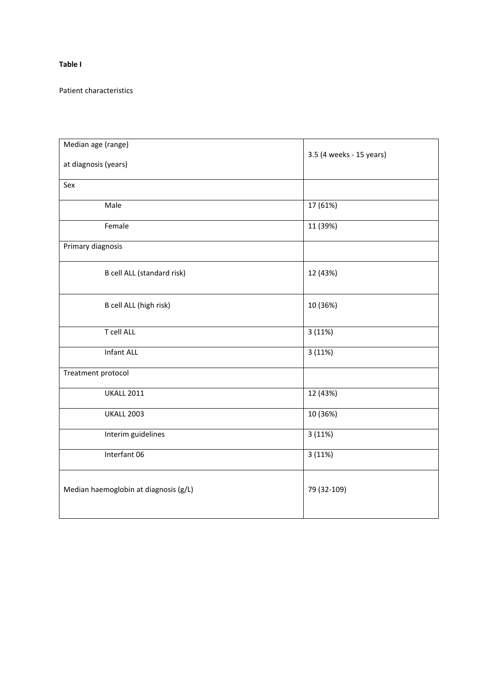# **Table I**

Patient characteristics

| Median age (range)                    |                          |
|---------------------------------------|--------------------------|
| at diagnosis (years)                  | 3.5 (4 weeks - 15 years) |
| Sex                                   |                          |
| Male                                  | 17 (61%)                 |
| Female                                | 11 (39%)                 |
| Primary diagnosis                     |                          |
| B cell ALL (standard risk)            | 12 (43%)                 |
| B cell ALL (high risk)                | 10 (36%)                 |
| T cell ALL                            | 3(11%)                   |
| <b>Infant ALL</b>                     | 3(11%)                   |
| Treatment protocol                    |                          |
| <b>UKALL 2011</b>                     | 12 (43%)                 |
| <b>UKALL 2003</b>                     | 10 (36%)                 |
| Interim guidelines                    | 3(11%)                   |
| Interfant 06                          | 3(11%)                   |
| Median haemoglobin at diagnosis (g/L) | 79 (32-109)              |